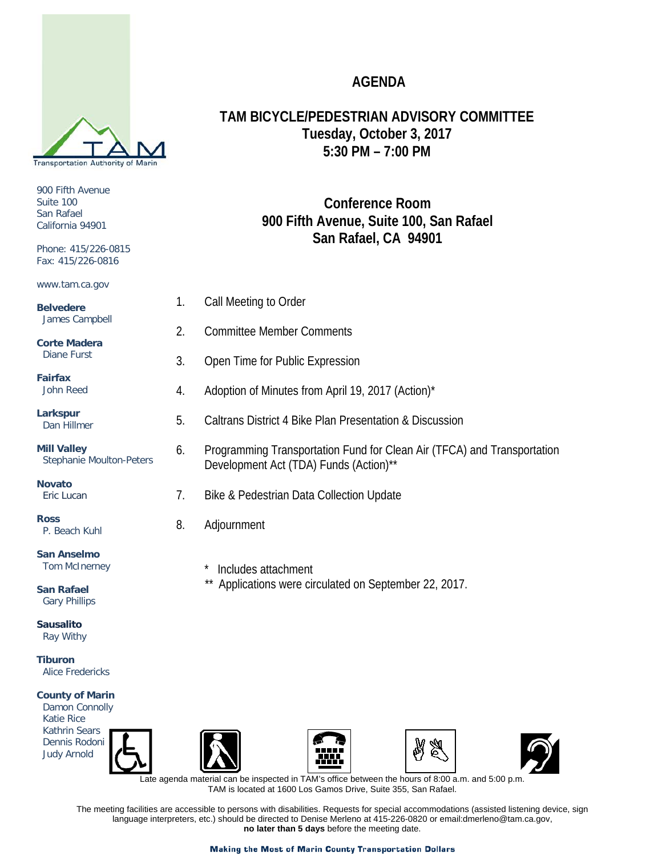# **AGENDA**

**TAM BICYCLE/PEDESTRIAN ADVISORY COMMITTEE Tuesday, October 3, 2017 5:30 PM – 7:00 PM**

# **Conference Room 900 Fifth Avenue, Suite 100, San Rafael San Rafael, CA 94901**

- 1. Call Meeting to Order
- 2. Committee Member Comments
- 3. Open Time for Public Expression
- 4. Adoption of Minutes from April 19, 2017 (Action)\*
- 5. Caltrans District 4 Bike Plan Presentation & Discussion
- 6. Programming Transportation Fund for Clean Air (TFCA) and Transportation Development Act (TDA) Funds (Action)\*\*
- 7. Bike & Pedestrian Data Collection Update
- 8. Adjournment
	- \* Includes attachment
	- *\*\** Applications were circulated on September 22, 2017.



 Katie Rice Kathrin Sears Dennis Rodoni Judy Arnold









 Late agenda material can be inspected in TAM's office between the hours of 8:00 a.m. and 5:00 p.m. TAM is located at 1600 Los Gamos Drive, Suite 355, San Rafael.

The meeting facilities are accessible to persons with disabilities. Requests for special accommodations (assisted listening device, sign language interpreters, etc.) should be directed to Denise Merleno at 415-226-0820 or email:dmerleno@tam.ca.gov, **no later than 5 days** before the meeting date.



900 Fifth Avenue Suite 100 San Rafael California 94901

Phone: 415/226-0815 Fax: 415/226-0816

www.tam.ca.gov

**Belvedere** James Campbell

**Corte Madera** Diane Furst

**Fairfax** John Reed

**Larkspur** Dan Hillmer

**Mill Valley** Stephanie Moulton-Peters

**Novato** Eric Lucan

**Ross** P. Beach Kuhl

**San Anselmo** Tom McInerney

**San Rafael** Gary Phillips

**Sausalito** Ray Withy

**Tiburon** Alice Fredericks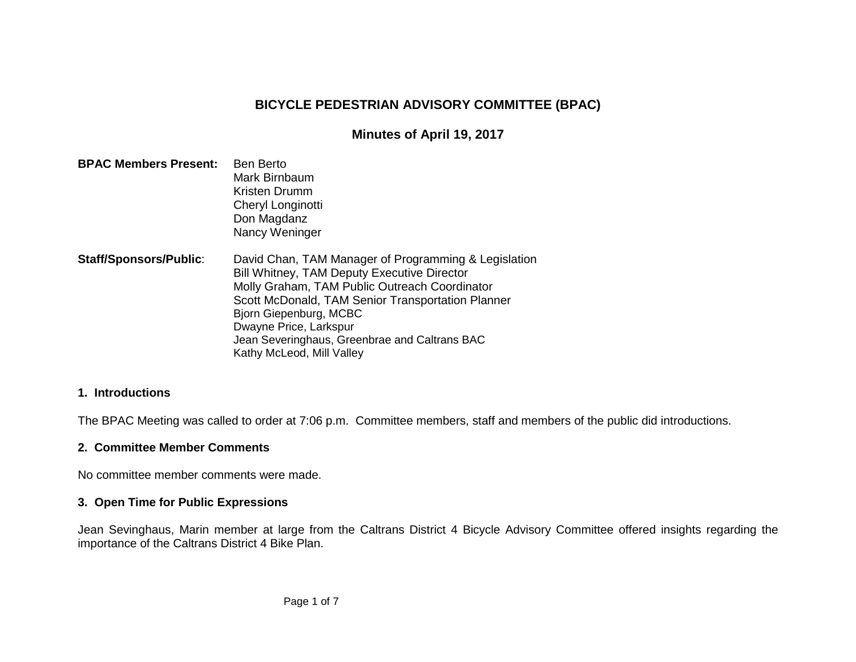### **BICYCLE PEDESTRIAN ADVISORY COMMITTEE (BPAC)**

#### **Minutes of April 19, 2017**

| <b>BPAC Members Present:</b>  | <b>Ben Berto</b><br>Mark Birnbaum<br>Kristen Drumm<br>Cheryl Longinotti<br>Don Magdanz<br>Nancy Weninger                                                                                                                                                                                                                                    |
|-------------------------------|---------------------------------------------------------------------------------------------------------------------------------------------------------------------------------------------------------------------------------------------------------------------------------------------------------------------------------------------|
| <b>Staff/Sponsors/Public:</b> | David Chan, TAM Manager of Programming & Legislation<br>Bill Whitney, TAM Deputy Executive Director<br>Molly Graham, TAM Public Outreach Coordinator<br>Scott McDonald, TAM Senior Transportation Planner<br>Bjorn Giepenburg, MCBC<br>Dwayne Price, Larkspur<br>Jean Severinghaus, Greenbrae and Caltrans BAC<br>Kathy McLeod, Mill Valley |

#### **1. Introductions**

The BPAC Meeting was called to order at 7:06 p.m. Committee members, staff and members of the public did introductions.

#### **2. Committee Member Comments**

No committee member comments were made.

#### **3. Open Time for Public Expressions**

Jean Sevinghaus, Marin member at large from the Caltrans District 4 Bicycle Advisory Committee offered insights regarding the importance of the Caltrans District 4 Bike Plan.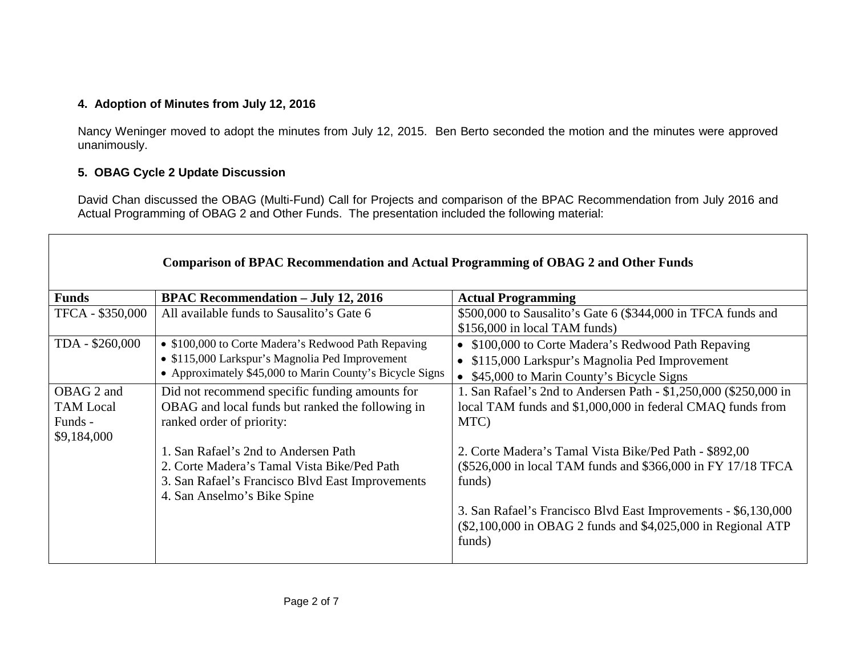#### **4. Adoption of Minutes from July 12, 2016**

Nancy Weninger moved to adopt the minutes from July 12, 2015. Ben Berto seconded the motion and the minutes were approved unanimously.

#### **5. OBAG Cycle 2 Update Discussion**

David Chan discussed the OBAG (Multi-Fund) Call for Projects and comparison of the BPAC Recommendation from July 2016 and Actual Programming of OBAG 2 and Other Funds. The presentation included the following material:

|                                                          | <b>Comparison of BPAC Recommendation and Actual Programming of OBAG 2 and Other Funds</b>                                                                                                                                                                                                                 |                                                                                                                                                                                                                                                                                                                                                                                                                        |
|----------------------------------------------------------|-----------------------------------------------------------------------------------------------------------------------------------------------------------------------------------------------------------------------------------------------------------------------------------------------------------|------------------------------------------------------------------------------------------------------------------------------------------------------------------------------------------------------------------------------------------------------------------------------------------------------------------------------------------------------------------------------------------------------------------------|
| <b>Funds</b>                                             | <b>BPAC Recommendation - July 12, 2016</b>                                                                                                                                                                                                                                                                | <b>Actual Programming</b>                                                                                                                                                                                                                                                                                                                                                                                              |
| TFCA - \$350,000                                         | All available funds to Sausalito's Gate 6                                                                                                                                                                                                                                                                 | \$500,000 to Sausalito's Gate 6 (\$344,000 in TFCA funds and<br>\$156,000 in local TAM funds)                                                                                                                                                                                                                                                                                                                          |
| TDA - \$260,000                                          | • \$100,000 to Corte Madera's Redwood Path Repaving<br>• \$115,000 Larkspur's Magnolia Ped Improvement<br>• Approximately \$45,000 to Marin County's Bicycle Signs                                                                                                                                        | • \$100,000 to Corte Madera's Redwood Path Repaving<br>• \$115,000 Larkspur's Magnolia Ped Improvement<br>• \$45,000 to Marin County's Bicycle Signs                                                                                                                                                                                                                                                                   |
| OBAG 2 and<br><b>TAM</b> Local<br>Funds -<br>\$9,184,000 | Did not recommend specific funding amounts for<br>OBAG and local funds but ranked the following in<br>ranked order of priority:<br>1. San Rafael's 2nd to Andersen Path<br>2. Corte Madera's Tamal Vista Bike/Ped Path<br>3. San Rafael's Francisco Blvd East Improvements<br>4. San Anselmo's Bike Spine | 1. San Rafael's 2nd to Andersen Path - \$1,250,000 (\$250,000 in<br>local TAM funds and \$1,000,000 in federal CMAQ funds from<br>MTC)<br>2. Corte Madera's Tamal Vista Bike/Ped Path - \$892,00<br>(\$526,000 in local TAM funds and \$366,000 in FY 17/18 TFCA<br>funds)<br>3. San Rafael's Francisco Blvd East Improvements - \$6,130,000<br>(\$2,100,000 in OBAG 2 funds and \$4,025,000 in Regional ATP<br>funds) |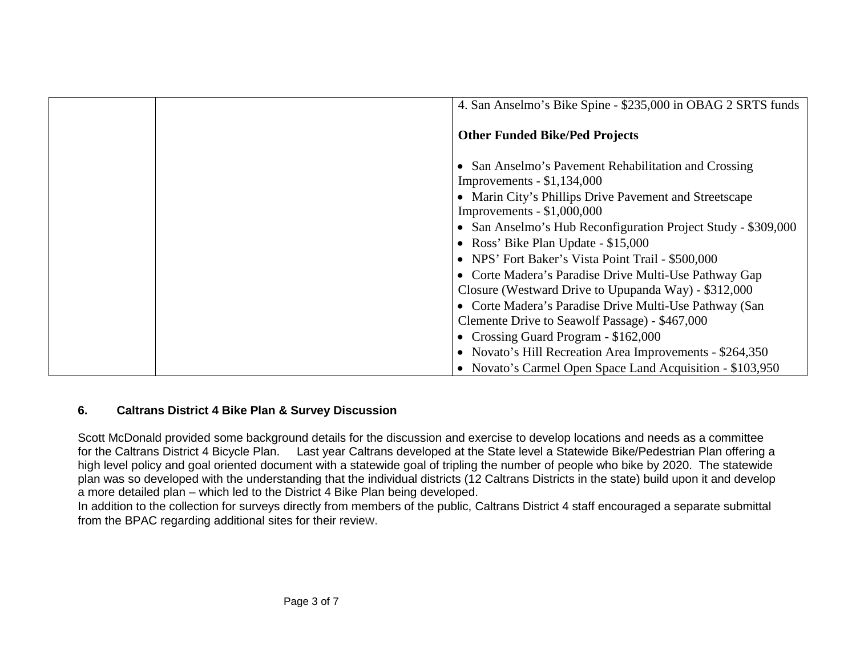|  | 4. San Anselmo's Bike Spine - \$235,000 in OBAG 2 SRTS funds                           |
|--|----------------------------------------------------------------------------------------|
|  | <b>Other Funded Bike/Ped Projects</b>                                                  |
|  | • San Anselmo's Pavement Rehabilitation and Crossing<br>Improvements $-$ \$1,134,000   |
|  | • Marin City's Phillips Drive Pavement and Streetscape<br>Improvements $-$ \$1,000,000 |
|  | • San Anselmo's Hub Reconfiguration Project Study - \$309,000                          |
|  | • Ross' Bike Plan Update - \$15,000                                                    |
|  | • NPS' Fort Baker's Vista Point Trail - \$500,000                                      |
|  | • Corte Madera's Paradise Drive Multi-Use Pathway Gap                                  |
|  | Closure (Westward Drive to Upupanda Way) - \$312,000                                   |
|  | • Corte Madera's Paradise Drive Multi-Use Pathway (San                                 |
|  | Clemente Drive to Seawolf Passage) - \$467,000                                         |
|  | • Crossing Guard Program - \$162,000                                                   |
|  | • Novato's Hill Recreation Area Improvements - \$264,350                               |
|  | • Novato's Carmel Open Space Land Acquisition - \$103,950                              |

### **6. Caltrans District 4 Bike Plan & Survey Discussion**

Scott McDonald provided some background details for the discussion and exercise to develop locations and needs as a committee for the Caltrans District 4 Bicycle Plan. Last year Caltrans developed at the State level a Statewide Bike/Pedestrian Plan offering a high level policy and goal oriented document with a statewide goal of tripling the number of people who bike by 2020. The statewide plan was so developed with the understanding that the individual districts (12 Caltrans Districts in the state) build upon it and develop a more detailed plan – which led to the District 4 Bike Plan being developed.

In addition to the collection for surveys directly from members of the public, Caltrans District 4 staff encouraged a separate submittal from the BPAC regarding additional sites for their review.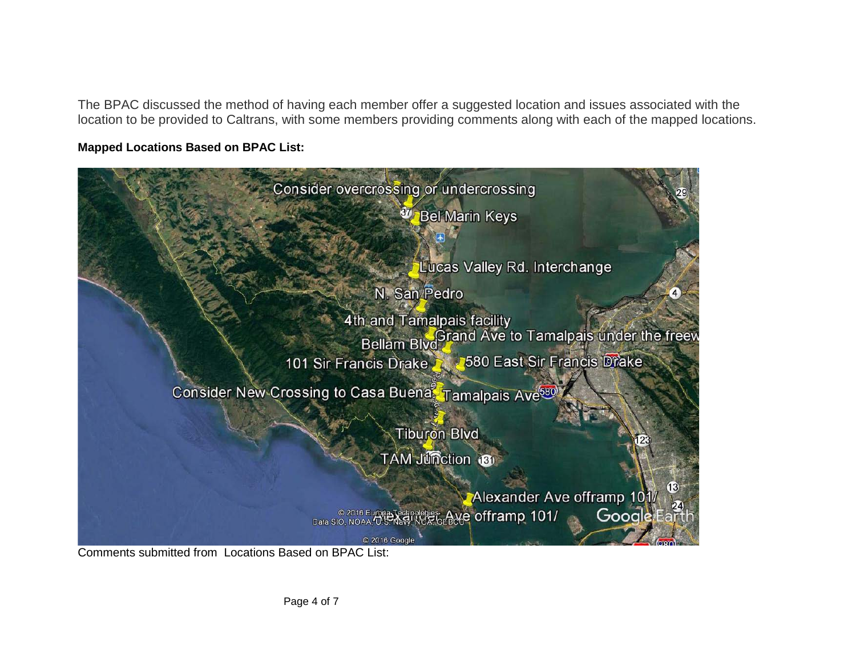The BPAC discussed the method of having each member offer a suggested location and issues associated with the location to be provided to Caltrans, with some members providing comments along with each of the mapped locations.

#### **Mapped Locations Based on BPAC List:**



Comments submitted from Locations Based on BPAC List: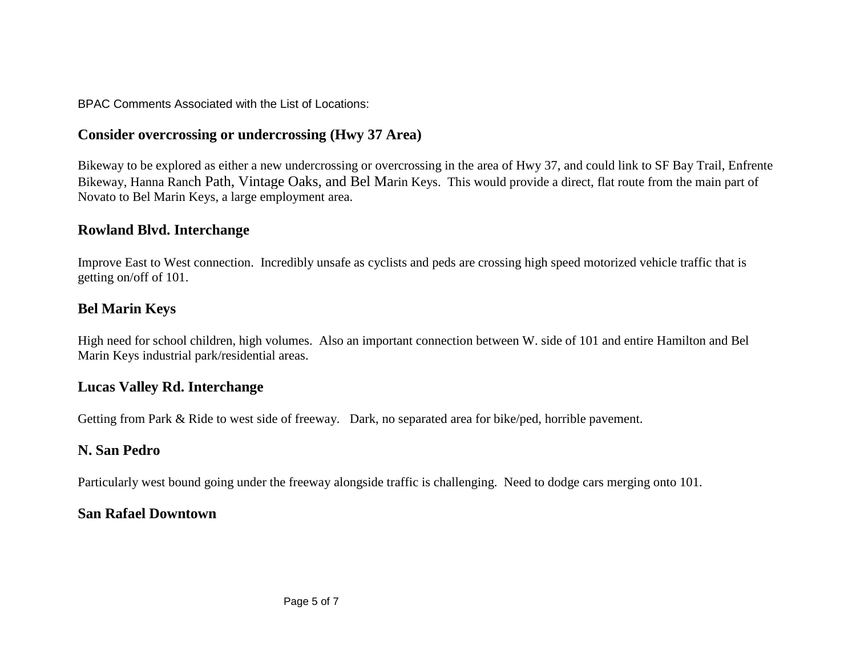BPAC Comments Associated with the List of Locations:

## **Consider overcrossing or undercrossing (Hwy 37 Area)**

Bikeway to be explored as either a new undercrossing or overcrossing in the area of Hwy 37, and could link to SF Bay Trail, Enfrente Bikeway, Hanna Ranch Path, Vintage Oaks, and Bel Marin Keys. This would provide a direct, flat route from the main part of Novato to Bel Marin Keys, a large employment area.

### **Rowland Blvd. Interchange**

Improve East to West connection. Incredibly unsafe as cyclists and peds are crossing high speed motorized vehicle traffic that is getting on/off of 101.

### **Bel Marin Keys**

High need for school children, high volumes. Also an important connection between W. side of 101 and entire Hamilton and Bel Marin Keys industrial park/residential areas.

### **Lucas Valley Rd. Interchange**

Getting from Park & Ride to west side of freeway. Dark, no separated area for bike/ped, horrible pavement.

# **N. San Pedro**

Particularly west bound going under the freeway alongside traffic is challenging. Need to dodge cars merging onto 101.

# **San Rafael Downtown**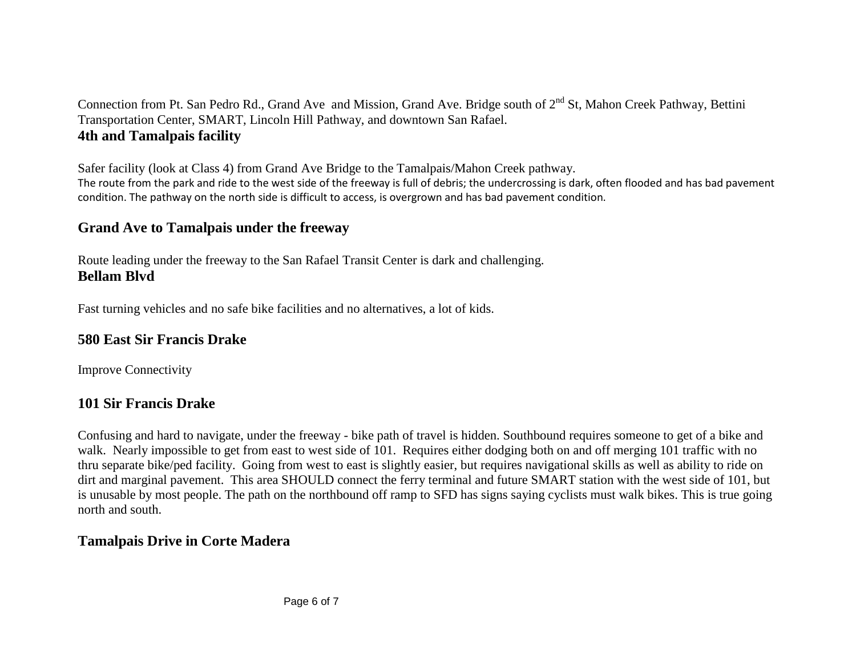Connection from Pt. San Pedro Rd., Grand Ave and Mission, Grand Ave. Bridge south of  $2^{nd}$  St. Mahon Creek Pathway. Bettini Transportation Center, SMART, Lincoln Hill Pathway, and downtown San Rafael. **4th and Tamalpais facility**

Safer facility (look at Class 4) from Grand Ave Bridge to the Tamalpais/Mahon Creek pathway. The route from the park and ride to the west side of the freeway is full of debris; the undercrossing is dark, often flooded and has bad pavement condition. The pathway on the north side is difficult to access, is overgrown and has bad pavement condition.

### **Grand Ave to Tamalpais under the freeway**

Route leading under the freeway to the San Rafael Transit Center is dark and challenging. **Bellam Blvd**

Fast turning vehicles and no safe bike facilities and no alternatives, a lot of kids.

### **580 East Sir Francis Drake**

Improve Connectivity

# **101 Sir Francis Drake**

Confusing and hard to navigate, under the freeway - bike path of travel is hidden. Southbound requires someone to get of a bike and walk. Nearly impossible to get from east to west side of 101. Requires either dodging both on and off merging 101 traffic with no thru separate bike/ped facility. Going from west to east is slightly easier, but requires navigational skills as well as ability to ride on dirt and marginal pavement. This area SHOULD connect the ferry terminal and future SMART station with the west side of 101, but is unusable by most people. The path on the northbound off ramp to SFD has signs saying cyclists must walk bikes. This is true going north and south.

# **Tamalpais Drive in Corte Madera**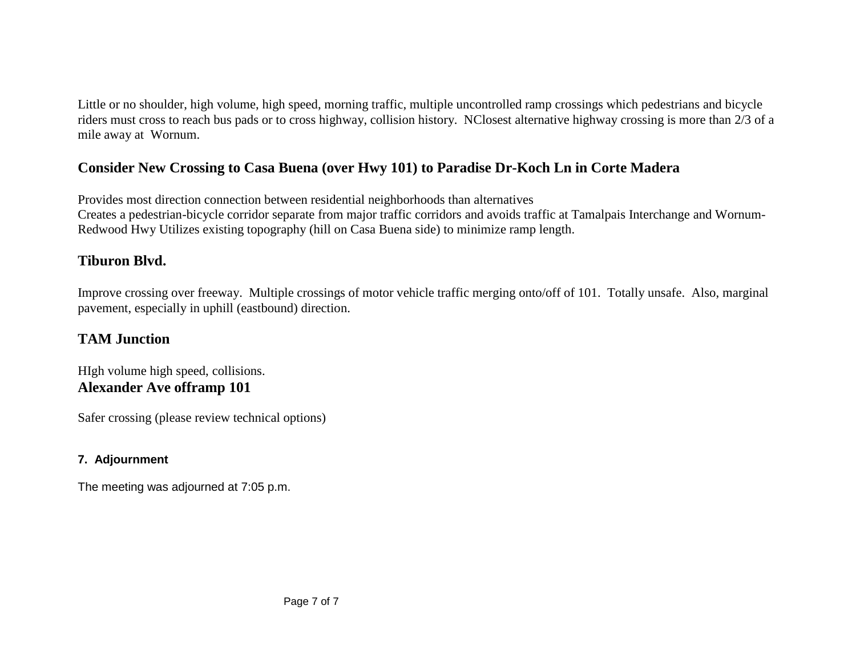Little or no shoulder, high volume, high speed, morning traffic, multiple uncontrolled ramp crossings which pedestrians and bicycle riders must cross to reach bus pads or to cross highway, collision history. NClosest alternative highway crossing is more than 2/3 of a mile away at Wornum.

## **Consider New Crossing to Casa Buena (over Hwy 101) to Paradise Dr-Koch Ln in Corte Madera**

Provides most direction connection between residential neighborhoods than alternatives Creates a pedestrian-bicycle corridor separate from major traffic corridors and avoids traffic at Tamalpais Interchange and Wornum-Redwood Hwy Utilizes existing topography (hill on Casa Buena side) to minimize ramp length.

### **Tiburon Blvd.**

Improve crossing over freeway. Multiple crossings of motor vehicle traffic merging onto/off of 101. Totally unsafe. Also, marginal pavement, especially in uphill (eastbound) direction.

### **TAM Junction**

HIgh volume high speed, collisions. **Alexander Ave offramp 101**

Safer crossing (please review technical options)

#### **7. Adjournment**

The meeting was adjourned at 7:05 p.m.